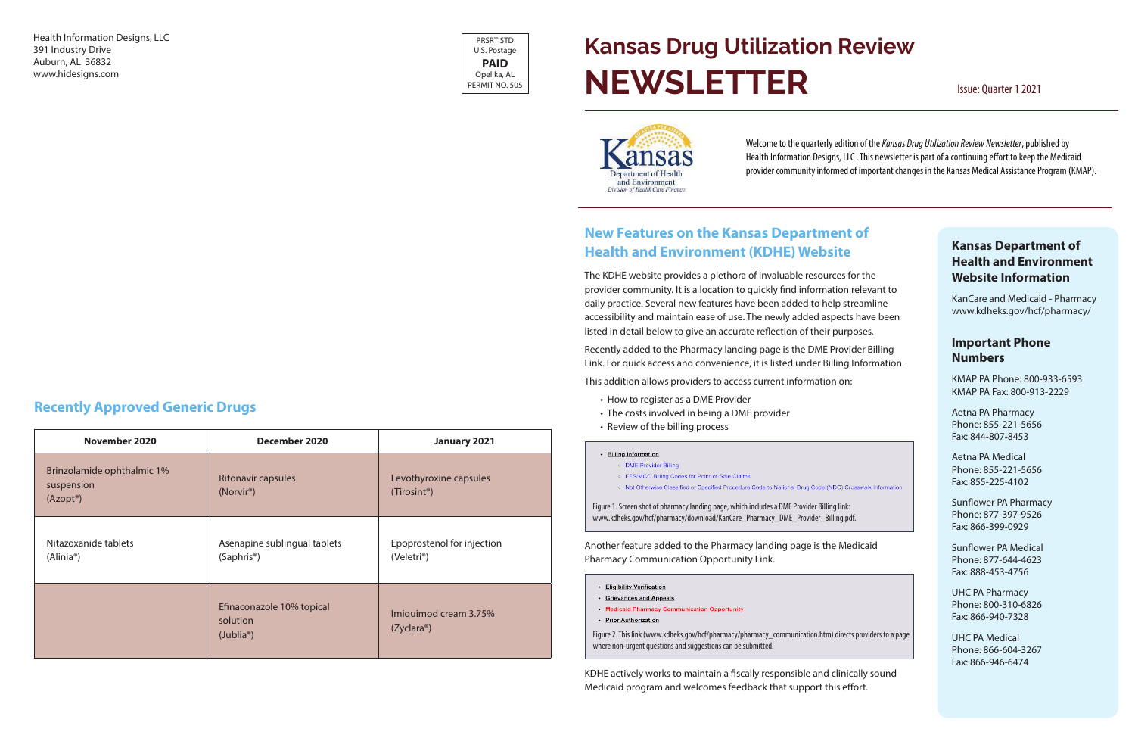### **Kansas Department of Health and Environment Website Information**

KanCare and Medicaid - Pharmacy www.kdheks.gov/hcf/pharmacy/

#### **Important Phone Numbers**

KMAP PA Phone: 800-933-6593 KMAP PA Fax: 800-913-2229

Aetna PA Pharmacy Phone: 855-221-5656 Fax: 844-807-8453

Aetna PA Medical Phone: 855-221-5656 Fax: 855-225-4102

Sunflower PA Pharmacy Phone: 877-397-9526 Fax: 866-399-0929

Sunflower PA Medical Phone: 877-644-4623 Fax: 888-453-4756

UHC PA Pharmacy Phone: 800-310-6826 Fax: 866-940-7328

UHC PA Medical Phone: 866-604-3267 Fax: 866-946-6474

Health Information Designs, LLC 391 Industry Drive Auburn, AL 36832 www.hidesigns.com

### **New Features on the Kansas Department of Health and Environment (KDHE) Website**

The KDHE website provides a plethora of invaluable resources for the provider community. It is a location to quickly find information relevant to daily practice. Several new features have been added to help streamline accessibility and maintain ease of use. The newly added aspects have been listed in detail below to give an accurate reflection of their purposes.

# **Kansas Drug Utilization Review NEWSLETTER** Issue: Quarter 1 2021



Recently added to the Pharmacy landing page is the DME Provider Billing Link. For quick access and convenience, it is listed under Billing Information.

This addition allows providers to access current information on:

- How to register as a DME Provider
- The costs involved in being a DME provider
- Review of the billing process

• Billing Information

- · DME Provider Billing
- FFS/MCO Billing Codes for Point-of-Sale Claims
- o Not Otherwise Classified or Specified Procedure Code to National Drug Code (NDC) Crosswalk Information

Another feature added to the Pharmacy landing page is the Medicaid Pharmacy Communication Opportunity Link.

- Eligibility Verification
- Grievances and Appeals
- Medicaid Pharmacy Communication Opportunity
- Prior Authorization

KDHE actively works to maintain a fiscally responsible and clinically sound Medicaid program and welcomes feedback that support this effort.

### **Recently Approved Generic Drugs**

| November 2020                                                     | December 2020                                                   | January 2021                                          |
|-------------------------------------------------------------------|-----------------------------------------------------------------|-------------------------------------------------------|
| Brinzolamide ophthalmic 1%<br>suspension<br>(Azopt <sup>®</sup> ) | <b>Ritonavir capsules</b><br>(Norvir <sup>®</sup> )             | Levothyroxine capsules<br>(Tirosint <sup>®</sup> )    |
| Nitazoxanide tablets<br>$(Alinia^{\circ})$                        | Asenapine sublingual tablets<br>$(Saphris^{\circ})$             | Epoprostenol for injection<br>(Veletri <sup>®</sup> ) |
|                                                                   | Efinaconazole 10% topical<br>solution<br>(Jublia <sup>®</sup> ) | Imiquimod cream 3.75%<br>(Zyclara <sup>®</sup> )      |

Welcome to the quarterly edition of the *Kansas Drug Utilization Review Newsletter*, published by Health Information Designs, LLC . This newsletter is part of a continuing effort to keep the Medicaid provider community informed of important changes in the Kansas Medical Assistance Program (KMAP).

Figure 1. Screen shot of pharmacy landing page, which includes a DME Provider Billing link: www.kdheks.gov/hcf/pharmacy/download/KanCare\_Pharmacy\_DME\_Provider\_Billing.pdf.

Figure 2. This link (www.kdheks.gov/hcf/pharmacy/pharmacy\_communication.htm) directs providers to a page where non-urgent questions and suggestions can be submitted.